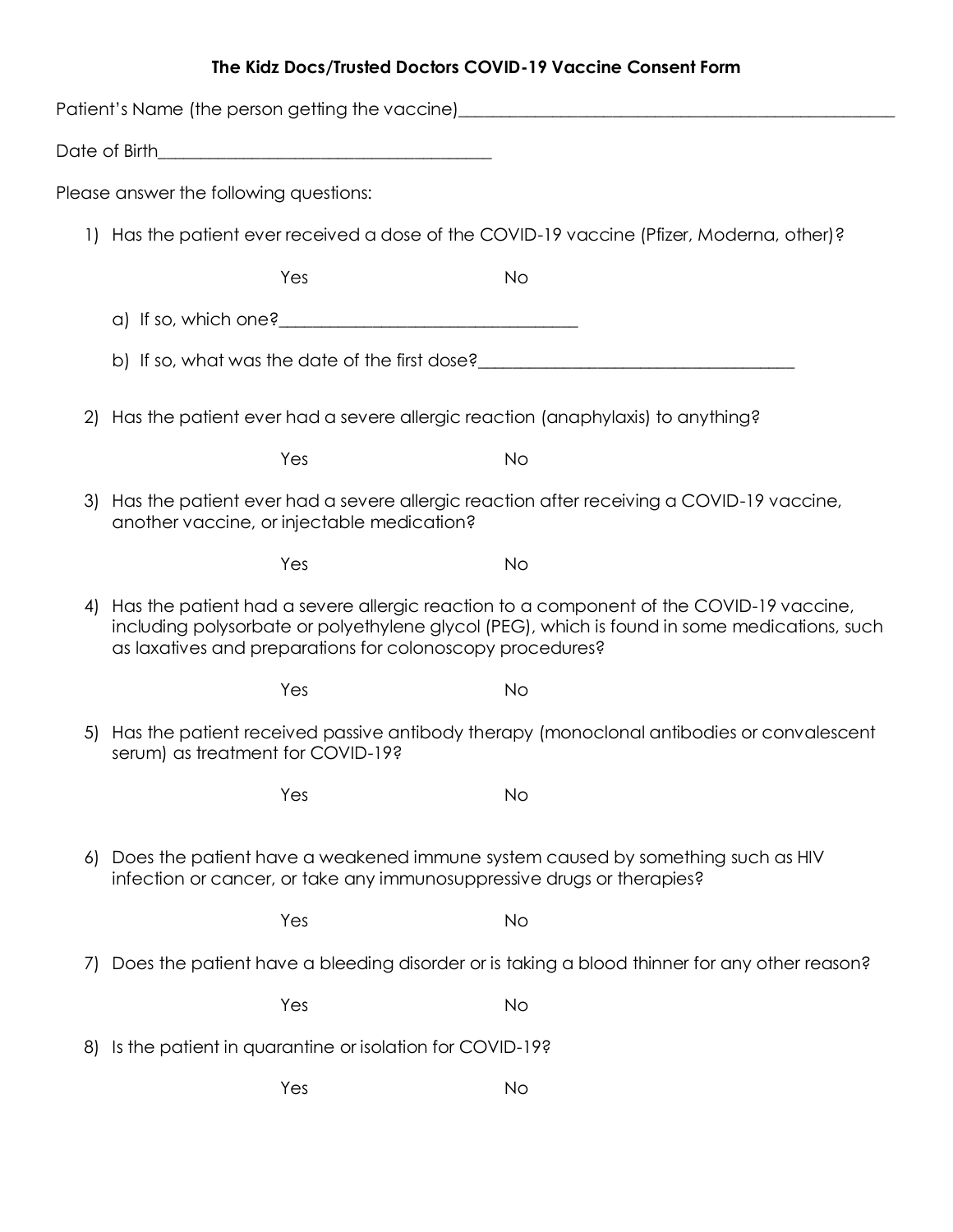## **The Kidz Docs/Trusted Doctors COVID-19 Vaccine Consent Form**

|                                                                                                                                     |                                                                                                                                                                                                                                                     | Patient's Name (the person getting the vaccine)_________________________________ |
|-------------------------------------------------------------------------------------------------------------------------------------|-----------------------------------------------------------------------------------------------------------------------------------------------------------------------------------------------------------------------------------------------------|----------------------------------------------------------------------------------|
|                                                                                                                                     |                                                                                                                                                                                                                                                     |                                                                                  |
|                                                                                                                                     | Please answer the following questions:                                                                                                                                                                                                              |                                                                                  |
|                                                                                                                                     | 1) Has the patient ever received a dose of the COVID-19 vaccine (Pfizer, Moderna, other)?                                                                                                                                                           |                                                                                  |
|                                                                                                                                     | Yes                                                                                                                                                                                                                                                 | <b>No</b>                                                                        |
|                                                                                                                                     | a) If so, which one?<br><u> a</u>                                                                                                                                                                                                                   |                                                                                  |
| b) If so, what was the date of the first dose?__________________________________                                                    |                                                                                                                                                                                                                                                     |                                                                                  |
| 2)                                                                                                                                  |                                                                                                                                                                                                                                                     | Has the patient ever had a severe allergic reaction (anaphylaxis) to anything?   |
|                                                                                                                                     | Yes                                                                                                                                                                                                                                                 | <b>No</b>                                                                        |
|                                                                                                                                     | 3) Has the patient ever had a severe allergic reaction after receiving a COVID-19 vaccine,<br>another vaccine, or injectable medication?                                                                                                            |                                                                                  |
|                                                                                                                                     | Yes                                                                                                                                                                                                                                                 | <b>No</b>                                                                        |
| 4)                                                                                                                                  | Has the patient had a severe allergic reaction to a component of the COVID-19 vaccine,<br>including polysorbate or polyethylene glycol (PEG), which is found in some medications, such<br>as laxatives and preparations for colonoscopy procedures? |                                                                                  |
|                                                                                                                                     | Yes                                                                                                                                                                                                                                                 | <b>No</b>                                                                        |
| Has the patient received passive antibody therapy (monoclonal antibodies or convalescent<br>5)<br>serum) as treatment for COVID-19? |                                                                                                                                                                                                                                                     |                                                                                  |
|                                                                                                                                     | Yes                                                                                                                                                                                                                                                 | No                                                                               |
|                                                                                                                                     | Does the patient have a weakened immune system caused by something such as HIV<br>infection or cancer, or take any immunosuppressive drugs or therapies?                                                                                            |                                                                                  |
|                                                                                                                                     | Yes                                                                                                                                                                                                                                                 | <b>No</b>                                                                        |
| 7)                                                                                                                                  | Does the patient have a bleeding disorder or is taking a blood thinner for any other reason?                                                                                                                                                        |                                                                                  |
|                                                                                                                                     | Yes                                                                                                                                                                                                                                                 | <b>No</b>                                                                        |
| 8)                                                                                                                                  | Is the patient in quarantine or isolation for COVID-19?                                                                                                                                                                                             |                                                                                  |
|                                                                                                                                     | Yes                                                                                                                                                                                                                                                 | No                                                                               |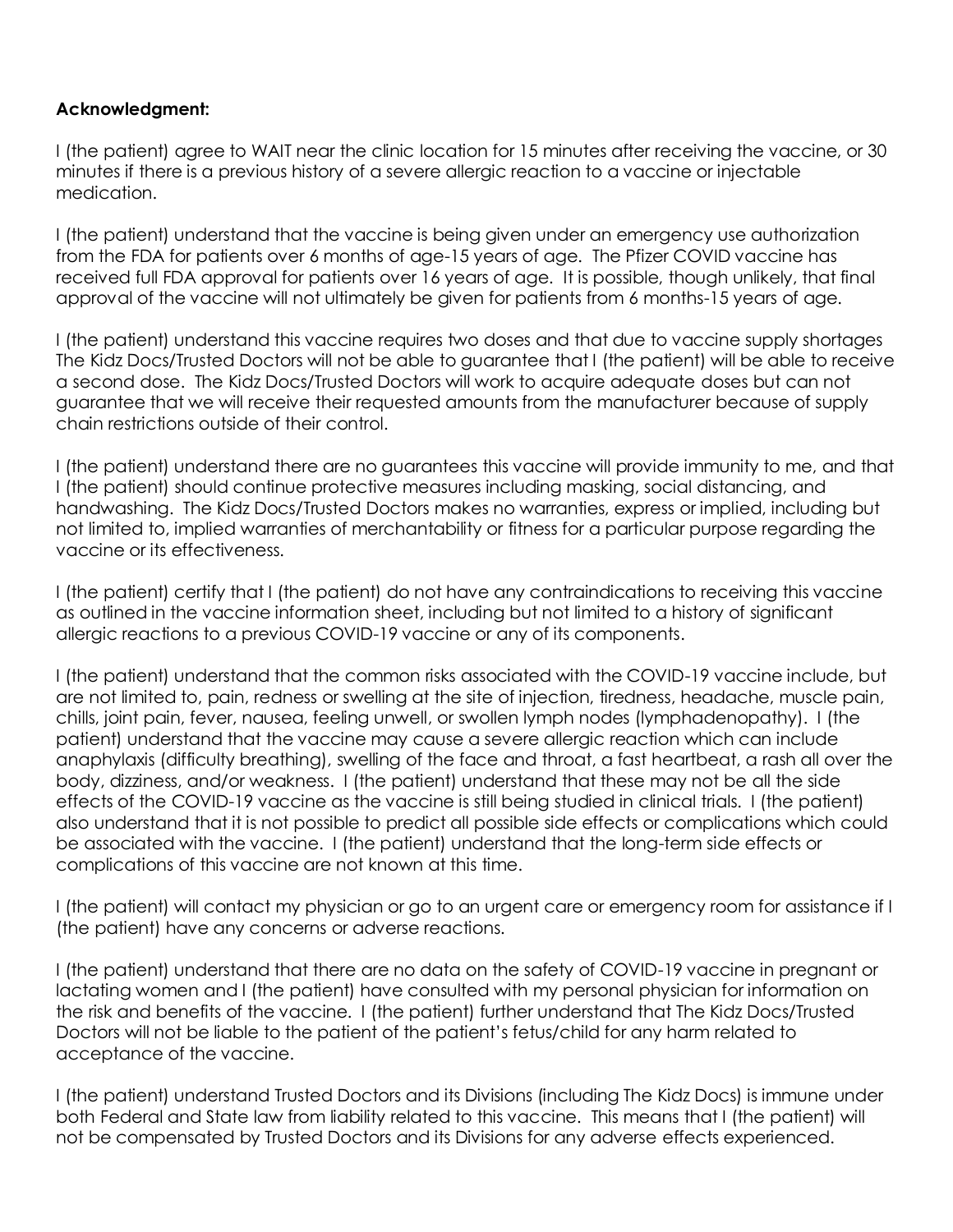## **Acknowledgment:**

I (the patient) agree to WAIT near the clinic location for 15 minutes after receiving the vaccine, or 30 minutes if there is a previous history of a severe allergic reaction to a vaccine or injectable medication.

I (the patient) understand that the vaccine is being given under an emergency use authorization from the FDA for patients over 6 months of age-15 years of age. The Pfizer COVID vaccine has received full FDA approval for patients over 16 years of age. It is possible, though unlikely, that final approval of the vaccine will not ultimately be given for patients from 6 months-15 years of age.

I (the patient) understand this vaccine requires two doses and that due to vaccine supply shortages The Kidz Docs/Trusted Doctors will not be able to guarantee that I (the patient) will be able to receive a second dose. The Kidz Docs/Trusted Doctors will work to acquire adequate doses but can not guarantee that we will receive their requested amounts from the manufacturer because of supply chain restrictions outside of their control.

I (the patient) understand there are no guarantees this vaccine will provide immunity to me, and that I (the patient) should continue protective measures including masking, social distancing, and handwashing. The Kidz Docs/Trusted Doctors makes no warranties, express or implied, including but not limited to, implied warranties of merchantability or fitness for a particular purpose regarding the vaccine or its effectiveness.

I (the patient) certify that I (the patient) do not have any contraindications to receiving this vaccine as outlined in the vaccine information sheet, including but not limited to a history of significant allergic reactions to a previous COVID-19 vaccine or any of its components.

I (the patient) understand that the common risks associated with the COVID-19 vaccine include, but are not limited to, pain, redness or swelling at the site of injection, tiredness, headache, muscle pain, chills, joint pain, fever, nausea, feeling unwell, or swollen lymph nodes (lymphadenopathy). I (the patient) understand that the vaccine may cause a severe allergic reaction which can include anaphylaxis (difficulty breathing), swelling of the face and throat, a fast heartbeat, a rash all over the body, dizziness, and/or weakness. I (the patient) understand that these may not be all the side effects of the COVID-19 vaccine as the vaccine is still being studied in clinical trials. I (the patient) also understand that it is not possible to predict all possible side effects or complications which could be associated with the vaccine. I (the patient) understand that the long-term side effects or complications of this vaccine are not known at this time.

I (the patient) will contact my physician or go to an urgent care or emergency room for assistance if I (the patient) have any concerns or adverse reactions.

I (the patient) understand that there are no data on the safety of COVID-19 vaccine in pregnant or lactating women and I (the patient) have consulted with my personal physician for information on the risk and benefits of the vaccine. I (the patient) further understand that The Kidz Docs/Trusted Doctors will not be liable to the patient of the patient's fetus/child for any harm related to acceptance of the vaccine.

I (the patient) understand Trusted Doctors and its Divisions (including The Kidz Docs) is immune under both Federal and State law from liability related to this vaccine. This means that I (the patient) will not be compensated by Trusted Doctors and its Divisions for any adverse effects experienced.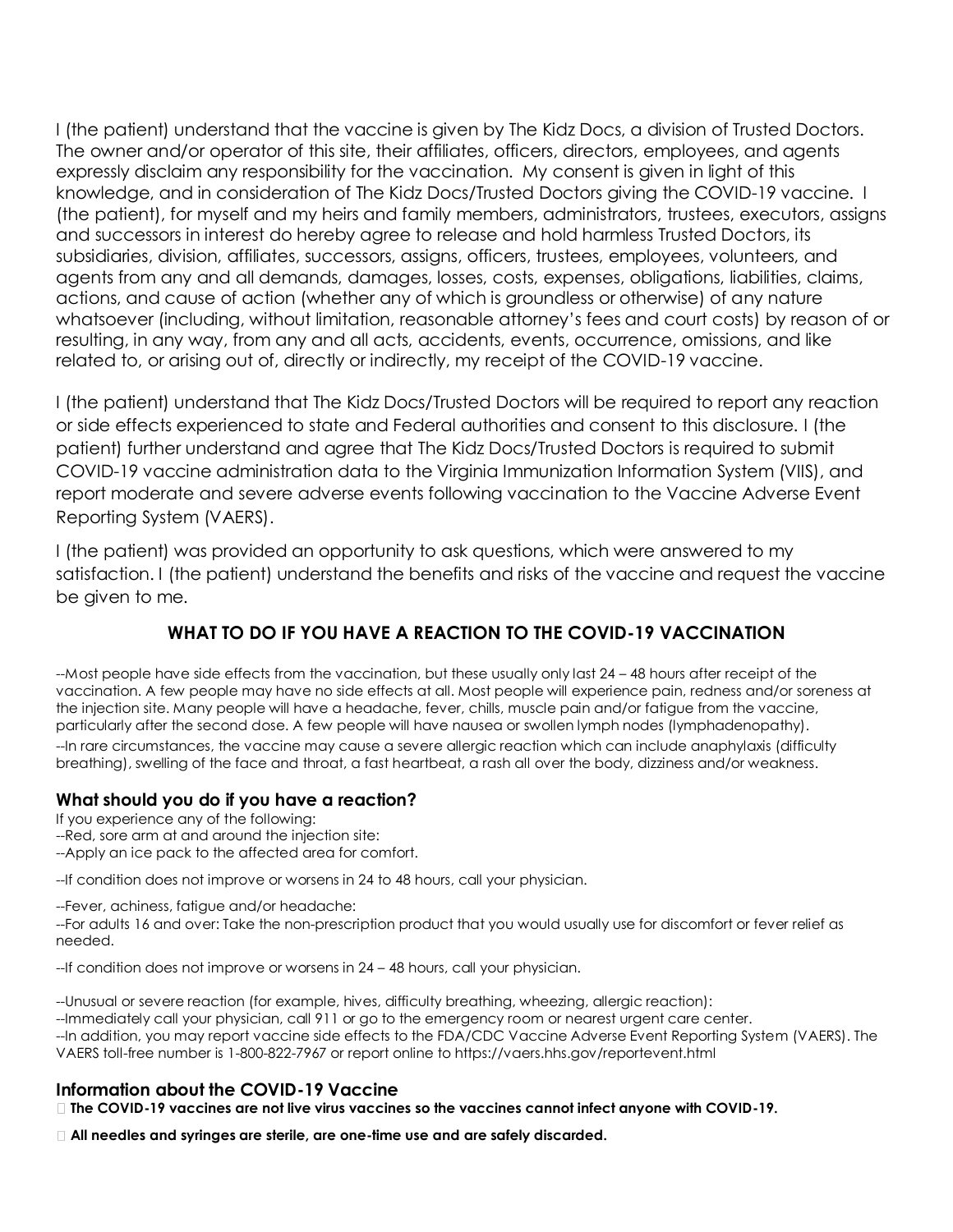I (the patient) understand that the vaccine is given by The Kidz Docs, a division of Trusted Doctors. The owner and/or operator of this site, their affiliates, officers, directors, employees, and agents expressly disclaim any responsibility for the vaccination. My consent is given in light of this knowledge, and in consideration of The Kidz Docs/Trusted Doctors giving the COVID-19 vaccine. I (the patient), for myself and my heirs and family members, administrators, trustees, executors, assigns and successors in interest do hereby agree to release and hold harmless Trusted Doctors, its subsidiaries, division, affiliates, successors, assigns, officers, trustees, employees, volunteers, and agents from any and all demands, damages, losses, costs, expenses, obligations, liabilities, claims, actions, and cause of action (whether any of which is groundless or otherwise) of any nature whatsoever (including, without limitation, reasonable attorney's fees and court costs) by reason of or resulting, in any way, from any and all acts, accidents, events, occurrence, omissions, and like related to, or arising out of, directly or indirectly, my receipt of the COVID-19 vaccine.

I (the patient) understand that The Kidz Docs/Trusted Doctors will be required to report any reaction or side effects experienced to state and Federal authorities and consent to this disclosure. I (the patient) further understand and agree that The Kidz Docs/Trusted Doctors is required to submit COVID-19 vaccine administration data to the Virginia Immunization Information System (VIIS), and report moderate and severe adverse events following vaccination to the Vaccine Adverse Event Reporting System (VAERS).

I (the patient) was provided an opportunity to ask questions, which were answered to my satisfaction. I (the patient) understand the benefits and risks of the vaccine and request the vaccine be given to me.

# **WHAT TO DO IF YOU HAVE A REACTION TO THE COVID-19 VACCINATION**

--Most people have side effects from the vaccination, but these usually only last 24 – 48 hours after receipt of the vaccination. A few people may have no side effects at all. Most people will experience pain, redness and/or soreness at the injection site. Many people will have a headache, fever, chills, muscle pain and/or fatigue from the vaccine, particularly after the second dose. A few people will have nausea or swollen lymph nodes (lymphadenopathy). --In rare circumstances, the vaccine may cause a severe allergic reaction which can include anaphylaxis (difficulty breathing), swelling of the face and throat, a fast heartbeat, a rash all over the body, dizziness and/or weakness.

#### **What should you do if you have a reaction?**

If you experience any of the following:

- --Red, sore arm at and around the injection site:
- --Apply an ice pack to the affected area for comfort.

--If condition does not improve or worsens in 24 to 48 hours, call your physician.

--Fever, achiness, fatigue and/or headache:

--For adults 16 and over: Take the non-prescription product that you would usually use for discomfort or fever relief as needed.

--If condition does not improve or worsens in 24 – 48 hours, call your physician.

--Unusual or severe reaction (for example, hives, difficulty breathing, wheezing, allergic reaction): --Immediately call your physician, call 911 or go to the emergency room or nearest urgent care center. --In addition, you may report vaccine side effects to the FDA/CDC Vaccine Adverse Event Reporting System (VAERS). The VAERS toll-free number is 1-800-822-7967 or report online to https://vaers.hhs.gov/reportevent.html

## **Information about the COVID-19 Vaccine**

**The COVID-19 vaccines are not live virus vaccines so the vaccines cannot infect anyone with COVID-19.** 

**All needles and syringes are sterile, are one-time use and are safely discarded.**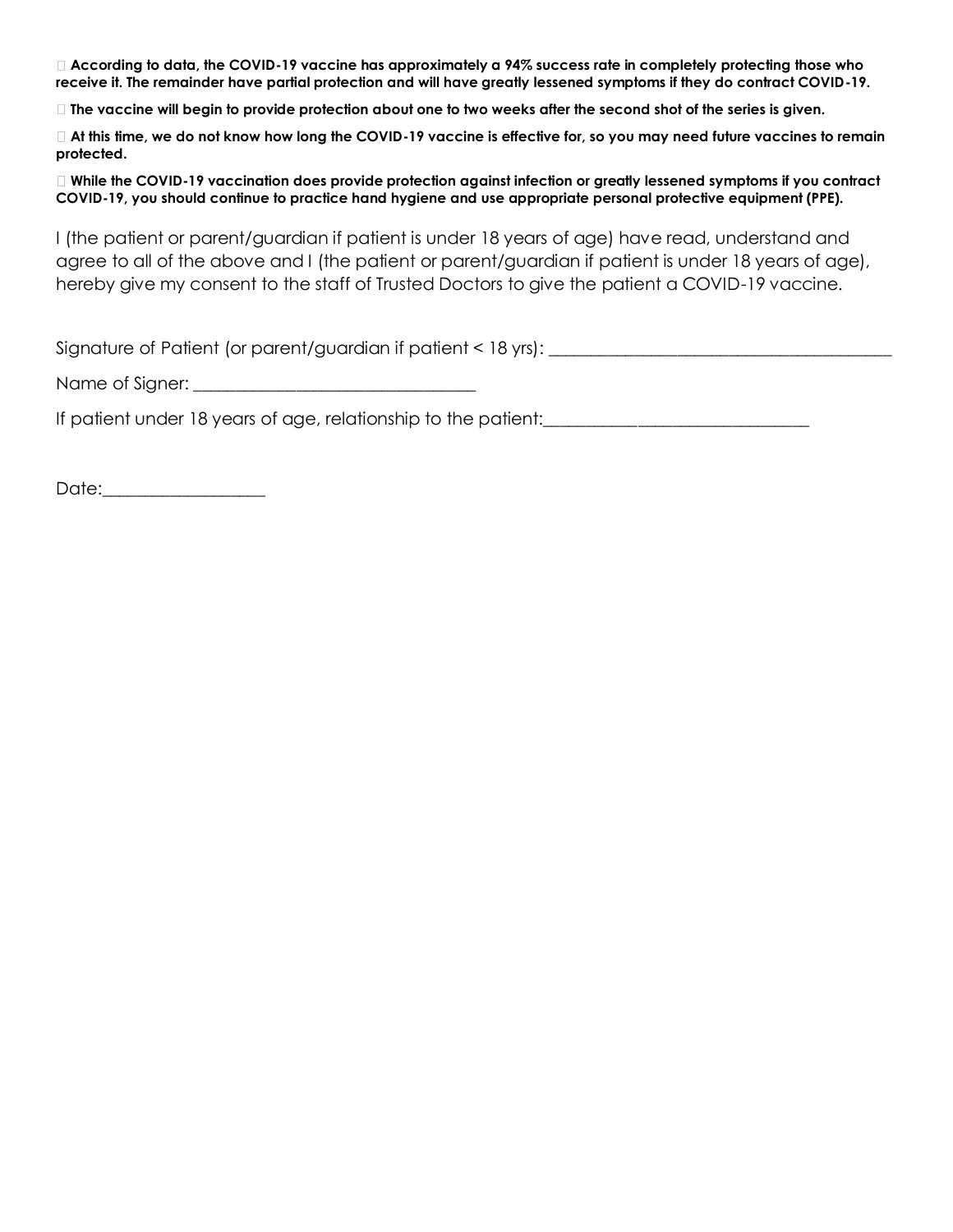**According to data, the COVID-19 vaccine has approximately a 94% success rate in completely protecting those who receive it. The remainder have partial protection and will have greatly lessened symptoms if they do contract COVID-19.** 

**The vaccine will begin to provide protection about one to two weeks after the second shot of the series is given.** 

**At this time, we do not know how long the COVID-19 vaccine is effective for, so you may need future vaccines to remain protected.** 

**While the COVID-19 vaccination does provide protection against infection or greatly lessened symptoms if you contract COVID-19, you should continue to practice hand hygiene and use appropriate personal protective equipment (PPE).** 

I (the patient or parent/guardian if patient is under 18 years of age) have read, understand and agree to all of the above and I (the patient or parent/guardian if patient is under 18 years of age), hereby give my consent to the staff of Trusted Doctors to give the patient a COVID-19 vaccine.

Signature of Patient (or parent/guardian if patient < 18 yrs): \_\_\_\_\_\_\_\_\_\_\_\_\_\_\_\_\_\_\_\_\_\_\_\_\_\_\_\_\_\_\_\_\_\_\_\_\_\_\_\_

Name of Signer: \_\_\_\_\_\_\_\_\_\_\_\_\_\_\_\_\_\_\_\_\_\_\_\_\_\_\_\_\_\_\_\_\_

If patient under 18 years of age, relationship to the patient:

Date: